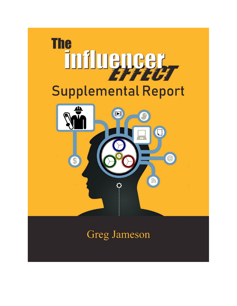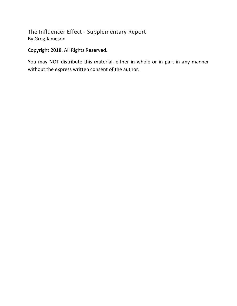The Influencer Effect - Supplementary Report By Greg Jameson

Copyright 2018. All Rights Reserved.

You may NOT distribute this material, either in whole or in part in any manner without the express written consent of the author.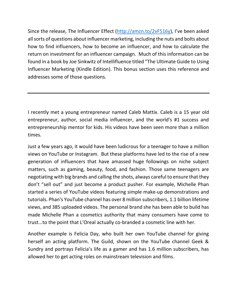Since the release, The Influencer Effect [\(http://amzn.to/2vF516y](http://amzn.to/2vF516y)), I've been asked all sorts of questions about influencer marketing, including the nuts and bolts about how to find influencers, how to become an influencer, and how to calculate the return on investment for an influencer campaign. Much of this information can be found in a book by Joe Sinkwitz of Intellifluence titled "The Ultimate Guide to Using Influencer Marketing (Kindle Edition). This bonus section uses this reference and addresses some of those questions.

I recently met a young entrepreneur named Caleb Mattix. Caleb is a 15 year old entrepreneur, author, social media influencer, and the world's #1 success and entrepreneurship mentor for kids. His videos have been seen more than a million times.

Just a few years ago, it would have been ludicrous for a teenager to have a million views on YouTube or Instagram. But these platforms have led to the rise of a new generation of influencers that have amassed huge followings on niche subject matters, such as gaming, beauty, food, and fashion. Those same teenagers are negotiating with big brands and calling the shots, always careful to ensure that they don't "sell out" and just become a product pusher. For example, Michelle Phan started a series of YouTube videos featuring simple make-up demonstrations and tutorials. Phan's YouTube channel has over 8 million subscribers, 1.1 billion lifetime views, and 385 uploaded videos. The personal brand she has been able to build has made Michelle Phan a cosmetics authority that many consumers have come to trust...to the point that L'Oreal actually co-branded a cosmetic line with her.

Another example is Felicia Day, who built her own YouTube channel for giving herself an acting platform. The Guild, shown on the YouTube channel Geek & Sundry and portrays Felicia's life as a gamer and has 1.6 million subscribers, has allowed her to get acting roles on mainstream television and films.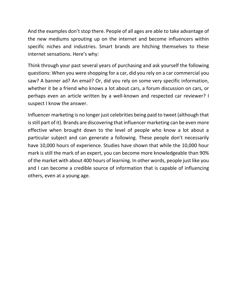And the examples don't stop there. People of all ages are able to take advantage of the new mediums sprouting up on the internet and become influencers within specific niches and industries. Smart brands are hitching themselves to these internet sensations. Here's why:

Think through your past several years of purchasing and ask yourself the following questions: When you were shopping for a car, did you rely on a car commercial you saw? A banner ad? An email? Or, did you rely on some very specific information, whether it be a friend who knows a lot about cars, a forum discussion on cars, or perhaps even an article written by a well-known and respected car reviewer? I suspect I know the answer.

Influencer marketing is no longer just celebrities being paid to tweet (although that is still part of it). Brands are discovering that influencer marketing can be even more effective when brought down to the level of people who know a lot about a particular subject and can generate a following. These people don't necessarily have 10,000 hours of experience. Studies have shown that while the 10,000 hour mark is still the mark of an expert, you can become more knowledgeable than 90% of the market with about 400 hours of learning. In other words, people just like you and I can become a credible source of information that is capable of influencing others, even at a young age.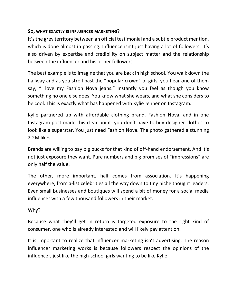### **SO, WHAT EXACTLY IS INFLUENCER MARKETING?**

It's the grey territory between an official testimonial and a subtle product mention, which is done almost in passing. Influence isn't just having a lot of followers. It's also driven by expertise and credibility on subject matter and the relationship between the influencer and his or her followers.

The best example is to imagine that you are back in high school. You walk down the hallway and as you stroll past the "popular crowd" of girls, you hear one of them say, "I love my Fashion Nova jeans." Instantly you feel as though you know something no one else does. You know what she wears, and what she considers to be cool. This is exactly what has happened with Kylie Jenner on Instagram.

Kylie partnered up with affordable clothing brand, Fashion Nova, and in one Instagram post made this clear point: you don't have to buy designer clothes to look like a superstar. You just need Fashion Nova. The photo gathered a stunning 2.2M likes.

Brands are willing to pay big bucks for that kind of off-hand endorsement. And it's not just exposure they want. Pure numbers and big promises of "impressions" are only half the value.

The other, more important, half comes from association. It's happening everywhere, from a-list celebrities all the way down to tiny niche thought leaders. Even small businesses and boutiques will spend a bit of money for a social media influencer with a few thousand followers in their market.

# Why?

Because what they'll get in return is targeted exposure to the right kind of consumer, one who is already interested and will likely pay attention.

It is important to realize that influencer marketing isn't advertising. The reason influencer marketing works is because followers respect the opinions of the influencer, just like the high-school girls wanting to be like Kylie.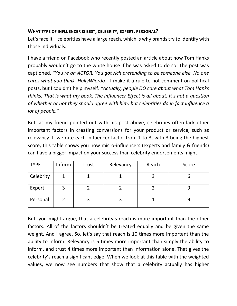## **WHAT TYPE OF INFLUENCER IS BEST, CELEBRITY, EXPERT, PERSONAL?**

Let's face it – celebrities have a large reach, which is why brands try to identify with those individuals.

I have a friend on Facebook who recently posted an article about how Tom Hanks probably wouldn't go to the white house if he was asked to do so. The post was captioned, *"You're an ACTOR. You got rich pretending to be someone else. No one cares what you think, HollyWierdo."* I make it a rule to not comment on political posts, but I couldn't help myself. *"Actually, people DO care about what Tom Hanks thinks. That is what my book, The Influencer Effect is all about. It's not a question of whether or not they should agree with him, but celebrities do in fact influence a lot of people."*

But, as my friend pointed out with his post above, celebrities often lack other important factors in creating conversions for your product or service, such as relevancy. If we rate each influencer factor from 1 to 3, with 3 being the highest score, this table shows you how micro-influencers (experts and family & friends) can have a bigger impact on your success than celebrity endorsements might.

| <b>TYPE</b> | Inform | Trust | Relevancy | Reach | Score |
|-------------|--------|-------|-----------|-------|-------|
| Celebrity   |        |       |           |       |       |
| Expert      |        |       |           |       |       |
| Personal    |        |       |           |       |       |

But, you might argue, that a celebrity's reach is more important than the other factors. All of the factors shouldn't be treated equally and be given the same weight. And I agree. So, let's say that reach is 10 times more important than the ability to inform. Relevancy is 5 times more important than simply the ability to inform, and trust 4 times more important than information alone. That gives the celebrity's reach a significant edge. When we look at this table with the weighted values, we now see numbers that show that a celebrity actually has higher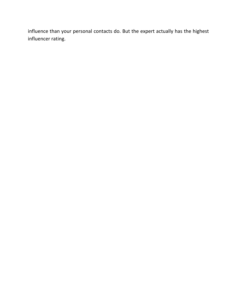influence than your personal contacts do. But the expert actually has the highest influencer rating.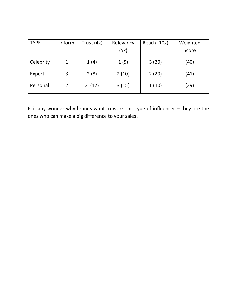| <b>TYPE</b> | Inform         | Trust (4x) | Relevancy | Reach (10x) | Weighted |
|-------------|----------------|------------|-----------|-------------|----------|
|             |                |            | (5x)      |             | Score    |
| Celebrity   |                | 1(4)       | 1(5)      | 3(30)       | (40)     |
| Expert      | 3              | 2(8)       | 2(10)     | 2(20)       | (41)     |
| Personal    | $\overline{2}$ | 3(12)      | 3(15)     | 1(10)       | (39)     |

Is it any wonder why brands want to work this type of influencer – they are the ones who can make a big difference to your sales!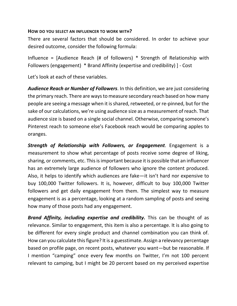### **HOW DO YOU SELECT AN INFLUENCER TO WORK WITH?**

There are several factors that should be considered. In order to achieve your desired outcome, consider the following formula:

Influence = [Audience Reach (# of followers) \* Strength of Relationship with Followers (engagement) \* Brand Affinity (expertise and credibility) ] - Cost

Let's look at each of these variables.

*Audience Reach or Number of Followers*. In this definition, we are just considering the primary reach. There are ways to measure secondary reach based on how many people are seeing a message when it is shared, retweeted, or re-pinned, but for the sake of our calculations, we're using audience size as a measurement of reach. That audience size is based on a single social channel. Otherwise, comparing someone's Pinterest reach to someone else's Facebook reach would be comparing apples to oranges.

*Strength of Relationship with Followers, or Engagement*. Engagement is a measurement to show what percentage of posts receive some degree of liking, sharing, or comments, etc. This is important because it is possible that an influencer has an extremely large audience of followers who ignore the content produced. Also, it helps to identify which audiences are fake—it isn't hard nor expensive to buy 100,000 Twitter followers. It is, however, difficult to buy 100,000 Twitter followers and get daily engagement from them. The simplest way to measure engagement is as a percentage, looking at a random sampling of posts and seeing how many of those posts had any engagement.

*Brand Affinity, including expertise and credibility.* This can be thought of as relevance. Similar to engagement, this item is also a percentage. It is also going to be different for every single product and channel combination you can think of. How can you calculate this figure? It is a guesstimate. Assign a relevancy percentage based on profile page, on recent posts, whatever you want—but be reasonable. If I mention "camping" once every few months on Twitter, I'm not 100 percent relevant to camping, but I might be 20 percent based on my perceived expertise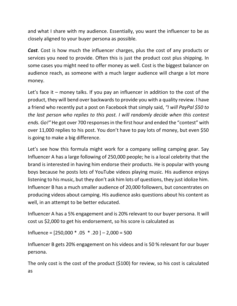and what I share with my audience. Essentially, you want the influencer to be as closely aligned to your buyer persona as possible.

*Cost*. Cost is how much the influencer charges, plus the cost of any products or services you need to provide. Often this is just the product cost plus shipping. In some cases you might need to offer money as well. Cost is the biggest balancer on audience reach, as someone with a much larger audience will charge a lot more money.

Let's face it – money talks. If you pay an influencer in addition to the cost of the product, they will bend over backwards to provide you with a quality review. I have a friend who recently put a post on Facebook that simply said, *"I will PayPal \$50 to the last person who replies to this post. I will randomly decide when this contest ends. Go!"* He got over 700 responses in the first hour and ended the "contest" with over 11,000 replies to his post. You don't have to pay lots of money, but even \$50 is going to make a big difference.

Let's see how this formula might work for a company selling camping gear. Say Influencer A has a large following of 250,000 people; he is a local celebrity that the brand is interested in having him endorse their products. He is popular with young boys because he posts lots of YouTube videos playing music. His audience enjoys listening to his music, but they don't ask him lots of questions, they just idolize him. Influencer B has a much smaller audience of 20,000 followers, but concentrates on producing videos about camping. His audience asks questions about his content as well, in an attempt to be better educated.

Influencer A has a 5% engagement and is 20% relevant to our buyer persona. It will cost us \$2,000 to get his endorsement, so his score is calculated as

Influence =  $[250,000 * .05 * .20] - 2,000 = 500$ 

Influencer B gets 20% engagement on his videos and is 50 % relevant for our buyer persona.

The only cost is the cost of the product (\$100) for review, so his cost is calculated as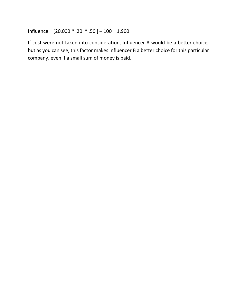Influence = [20,000 \* .20 \* .50 ] – 100 = 1,900

If cost were not taken into consideration, Influencer A would be a better choice, but as you can see, this factor makes influencer B a better choice for this particular company, even if a small sum of money is paid.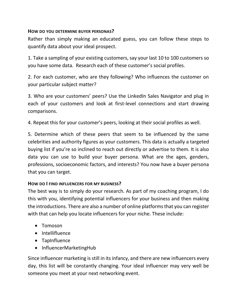### **HOW DO YOU DETERMINE BUYER PERSONAS?**

Rather than simply making an educated guess, you can follow these steps to quantify data about your ideal prospect.

1. Take a sampling of your existing customers, say your last 10 to 100 customers so you have some data. Research each of these customer's social profiles.

2. For each customer, who are they following? Who influences the customer on your particular subject matter?

3. Who are your customers' peers? Use the LinkedIn Sales Navigator and plug in each of your customers and look at first-level connections and start drawing comparisons.

4. Repeat this for your customer's peers, looking at their social profiles as well.

5. Determine which of these peers that seem to be influenced by the same celebrities and authority figures as your customers. This data is actually a targeted buying list if you're so inclined to reach out directly or advertise to them. It is also data you can use to build your buyer persona. What are the ages, genders, professions, socioeconomic factors, and interests? You now have a buyer persona that you can target.

# **HOW DO I FIND INFLUENCERS FOR MY BUSINESS?**

The best way is to simply do your research. As part of my coaching program, I do this with you, identifying potential influencers for your business and then making the introductions. There are also a number of online platforms that you can register with that can help you locate influencers for your niche. These include:

- Tomoson
- Intellifluence
- TapInfluence
- InfluencerMarketingHub

Since influencer marketing is still in its infancy, and there are new influencers every day, this list will be constantly changing. Your ideal influencer may very well be someone you meet at your next networking event.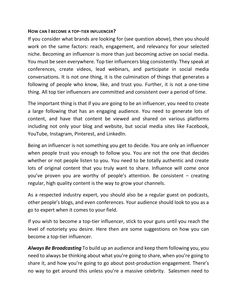#### **HOW CAN I BECOME A TOP-TIER INFLUENCER?**

If you consider what brands are looking for (see question above), then you should work on the same factors: reach, engagement, and relevancy for your selected niche. Becoming an influencer is more than just becoming active on social media. You must be seen everywhere. Top tier influencers blog consistently. They speak at conferences, create videos, lead webinars, and participate in social media conversations. It is not one thing, it is the culmination of things that generates a following of people who know, like, and trust you. Further, it is not a one-time thing. All top tier influencers are committed and consistent over a period of time.

The important thing is that if you are going to be an influencer, you need to create a large following that has an engaging audience. You need to generate lots of content, and have that content be viewed and shared on various platforms including not only your blog and website, but social media sites like Facebook, YouTube, Instagram, Pinterest, and LinkedIn.

Being an influencer is not something you get to decide. You are only an influencer when people trust you enough to follow you. You are not the one that decides whether or not people listen to you. You need to be totally authentic and create lots of original content that you truly want to share. Influence will come once you've proven you are worthy of people's attention. Be consistent – creating regular, high quality content is the way to grow your channels.

As a respected industry expert, you should also be a regular guest on podcasts, other people's blogs, and even conferences. Your audience should look to you as a go to expert when it comes to your field.

If you wish to become a top-tier influencer, stick to your guns until you reach the level of notoriety you desire. Here then are some suggestions on how you can become a top-tier influencer.

*Always Be Broadcasting* To build up an audience and keep them following you, you need to always be thinking about what you're going to share, when you're going to share it, and how you're going to go about post-production engagement. There's no way to get around this unless you're a massive celebrity. Salesmen need to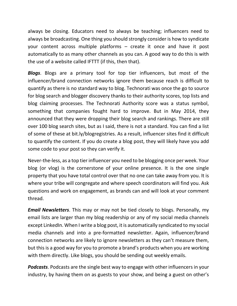always be closing. Educators need to always be teaching; influencers need to always be broadcasting. One thing you should strongly consider is how to syndicate your content across multiple platforms – create it once and have it post automatically to as many other channels as you can. A good way to do this is with the use of a website called IFTTT (if this, then that).

*Blogs*. Blogs are a primary tool for top tier influencers, but most of the influencer/brand connection networks ignore them because reach is difficult to quantify as there is no standard way to blog. Technorati was once the go to source for blog search and blogger discovery thanks to their authority scores, top lists and blog claiming processes. The Technorati Authority score was a status symbol, something that companies fought hard to improve. But in May 2014, they announced that they were dropping their blog search and rankings. There are still over 100 blog search sites, but as I said, there is not a standard. You can find a list of some of these at bit.ly/blogregistries. As a result, influencer sites find it difficult to quantify the content. If you do create a blog post, they will likely have you add some code to your post so they can verify it.

Never-the-less, as a top tier influencer you need to be blogging once per week. Your blog (or vlog) is the cornerstone of your online presence. It is the one single property that you have total control over that no one can take away from you. It is where your tribe will congregate and where speech coordinators will find you. Ask questions and work on engagement, as brands can and will look at your comment thread.

*Email Newsletters*. This may or may not be tied closely to blogs. Personally, my email lists are larger than my blog readership or any of my social media channels except LinkedIn. When I write a blog post, it is automatically syndicated to my social media channels and into a pre-formatted newsletter. Again, influencer/brand connection networks are likely to ignore newsletters as they can't measure them, but this is a good way for you to promote a brand's products when you are working with them directly. Like blogs, you should be sending out weekly emails.

*Podcasts*. Podcasts are the single best way to engage with other influencers in your industry, by having them on as guests to your show, and being a guest on other's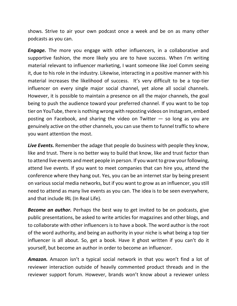shows. Strive to air your own podcast once a week and be on as many other podcasts as you can.

*Engage.* The more you engage with other influencers, in a collaborative and supportive fashion, the more likely you are to have success. When I'm writing material relevant to influencer marketing, I want someone like Joel Comm seeing it, due to his role in the industry. Likewise, interacting in a positive manner with his material increases the likelihood of success. It's very difficult to be a top-tier influencer on every single major social channel, yet alone all social channels. However, it is possible to maintain a presence on all the major channels, the goal being to push the audience toward your preferred channel. If you want to be top tier on YouTube, there is nothing wrong with reposting videos on Instagram, embed posting on Facebook, and sharing the video on Twitter  $-$  so long as you are genuinely active on the other channels, you can use them to funnel traffic to where you want attention the most.

*Live Events.* Remember the adage that people do business with people they know, like and trust. There is no better way to build that know, like and trust factor than to attend live events and meet people in person. If you want to grow your following, attend live events. If you want to meet companies that can hire you, attend the conference where they hang out. Yes, you can be an internet star by being present on various social media networks, but if you want to grow as an influencer, you still need to attend as many live events as you can. The idea is to be seen everywhere, and that include IRL (In Real Life).

*Become an author.* Perhaps the best way to get invited to be on podcasts, give public presentations, be asked to write articles for magazines and other blogs, and to collaborate with other influencers is to have a book. The word author is the root of the word authority, and being an authority in your niche is what being a top tier influencer is all about. So, get a book. Have it ghost written if you can't do it yourself, but become an author in order to become an influencer.

*Amazon.* Amazon isn't a typical social network in that you won't find a lot of reviewer interaction outside of heavily commented product threads and in the reviewer support forum. However, brands won't know about a reviewer unless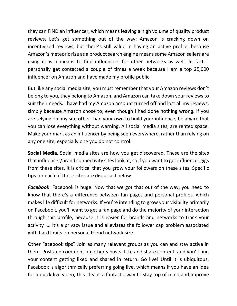they can FIND an influencer, which means leaving a high volume of quality product reviews. Let's get something out of the way: Amazon is cracking down on incentivized reviews, but there's still value in having an active profile, because Amazon's meteoric rise as a product search engine means some Amazon sellers are using it as a means to find influencers for other networks as well. In fact, I personally get contacted a couple of times a week because I am a top 25,000 influencer on Amazon and have made my profile public.

But like any social media site, you must remember that your Amazon reviews don't belong to you, they belong to Amazon, and Amazon can take down your reviews to suit their needs. I have had my Amazon account turned off and lost all my reviews, simply because Amazon chose to, even though I had done nothing wrong. If you are relying on any site other than your own to build your influence, be aware that you can lose everything without warning. All social media sites, are rented space. Make your mark as an influencer by being seen everywhere, rather than relying on any one site, especially one you do not control.

**Social Media.** Social media sites are how you get discovered. These are the sites that influencer/brand connectivity sites look at, so if you want to get influencer gigs from these sites, it is critical that you grow your followers on these sites. Specific tips for each of these sites are discussed below.

*Facebook*. Facebook is huge. Now that we got that out of the way, you need to know that there's a difference between fan pages and personal profiles, which makes life difficult for networks. If you're intending to grow your visibility primarily on Facebook, you'll want to get a fan page and do the majority of your interaction through this profile, because it is easier for brands and networks to track your activity …. It's a privacy issue and alleviates the follower cap problem associated with hard limits on personal friend network size.

Other Facebook tips? Join as many relevant groups as you can and stay active in them. Post and comment on other's posts: Like and share content, and you'll find your content getting liked and shared in return. Go live! Until it is ubiquitous, Facebook is algorithmically preferring going live, which means if you have an idea for a quick live video, this idea is a fantastic way to stay top of mind and improve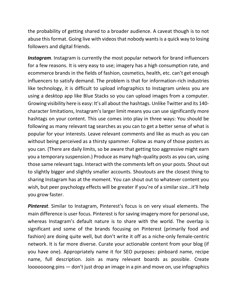the probability of getting shared to a broader audience. A caveat though is to not abuse this format. Going live with videos that nobody wants is a quick way to losing followers and digital friends.

*Instagram*. Instagram is currently the most popular network for brand influencers for a few reasons. It is very easy to use; imagery has a high consumption rate, and ecommerce brands in the fields of fashion, cosmetics, health, etc. can't get enough influencers to satisfy demand. The problem is that for information-rich industries like technology, it is difficult to upload infographics to Instagram unless you are using a desktop app like Blue Stacks so you can upload images from a computer. Growing visibility here is easy: It's all about the hashtags. Unlike Twitter and its 140 character limitations, Instagram's larger limit means you can use significantly more hashtags on your content. This use comes into play in three ways: You should be following as many relevant tag searches as you can to get a better sense of what is popular for your interests. Leave relevant comments and like as much as you can without being perceived as a thirsty spammer. Follow as many of those posters as you can. (There are daily limits, so be aware that getting too aggressive might earn you a temporary suspension.) Produce as many high-quality posts as you can, using those same relevant tags. Interact with the comments left on your posts. Shout out to slightly bigger and slightly smaller accounts. Shoutouts are the closest thing to sharing Instagram has at the moment. You can shout out to whatever content you wish, but peer psychology effects will be greater if you're of a similar size…it'll help you grow faster.

*Pinterest*. Similar to Instagram, Pinterest's focus is on very visual elements. The main difference is user focus. Pinterest is for saving imagery more for personal use, whereas Instagram's default nature is to share with the world. The overlap is significant and some of the brands focusing on Pinterest (primarily food and fashion) are doing quite well, but don't write it off as a niche-only female-centric network. It is far more diverse. Curate your actionable content from your blog (if you have one). Appropriately name it for SEO purposes: pinboard name, recipe name, full description. Join as many relevant boards as possible. Create looooooong pins — don't just drop an image in a pin and move on, use infographics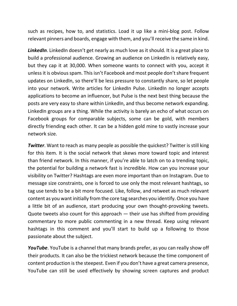such as recipes, how to, and statistics. Load it up like a mini-blog post. Follow relevant pinners and boards, engage with them, and you'll receive the same in kind.

**LinkedIn**. LinkedIn doesn't get nearly as much love as it should. It is a great place to build a professional audience. Growing an audience on LinkedIn is relatively easy, but they cap it at 30,000. When someone wants to connect with you, accept it unless it is obvious spam. This isn't Facebook and most people don't share frequent updates on LinkedIn, so there'll be less pressure to constantly share, so let people into your network. Write articles for LinkedIn Pulse. LinkedIn no longer accepts applications to become an influencer, but Pulse is the next best thing because the posts are very easy to share within LinkedIn, and thus become network expanding. LinkedIn groups are a thing. While the activity is barely an echo of what occurs on Facebook groups for comparable subjects, some can be gold, with members directly friending each other. It can be a hidden gold mine to vastly increase your network size.

**Twitter**. Want to reach as many people as possible the quickest? Twitter is still king for this item. It is the social network that skews more toward topic and interest than friend network. In this manner, if you're able to latch on to a trending topic, the potential for building a network fast is incredible. How can you increase your visibility on Twitter? Hashtags are even more important than on Instagram. Due to message size constraints, one is forced to use only the most relevant hashtags, so tag use tends to be a bit more focused. Like, follow, and retweet as much relevant content as you want initially from the core tag searches you identify. Once you have a little bit of an audience, start producing your own thought-provoking tweets. Quote tweets also count for this approach  $-$  their use has shifted from providing commentary to more public commenting in a new thread. Keep using relevant hashtags in this comment and you'll start to build up a following to those passionate about the subject.

*YouTube*. YouTube is a channel that many brands prefer, as you can really show off their products. It can also be the trickiest network because the time component of content production is the steepest. Even if you don't have a great camera presence, YouTube can still be used effectively by showing screen captures and product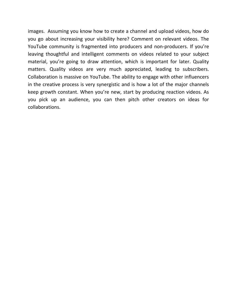images. Assuming you know how to create a channel and upload videos, how do you go about increasing your visibility here? Comment on relevant videos. The YouTube community is fragmented into producers and non-producers. If you're leaving thoughtful and intelligent comments on videos related to your subject material, you're going to draw attention, which is important for later. Quality matters. Quality videos are very much appreciated, leading to subscribers. Collaboration is massive on YouTube. The ability to engage with other influencers in the creative process is very synergistic and is how a lot of the major channels keep growth constant. When you're new, start by producing reaction videos. As you pick up an audience, you can then pitch other creators on ideas for collaborations.